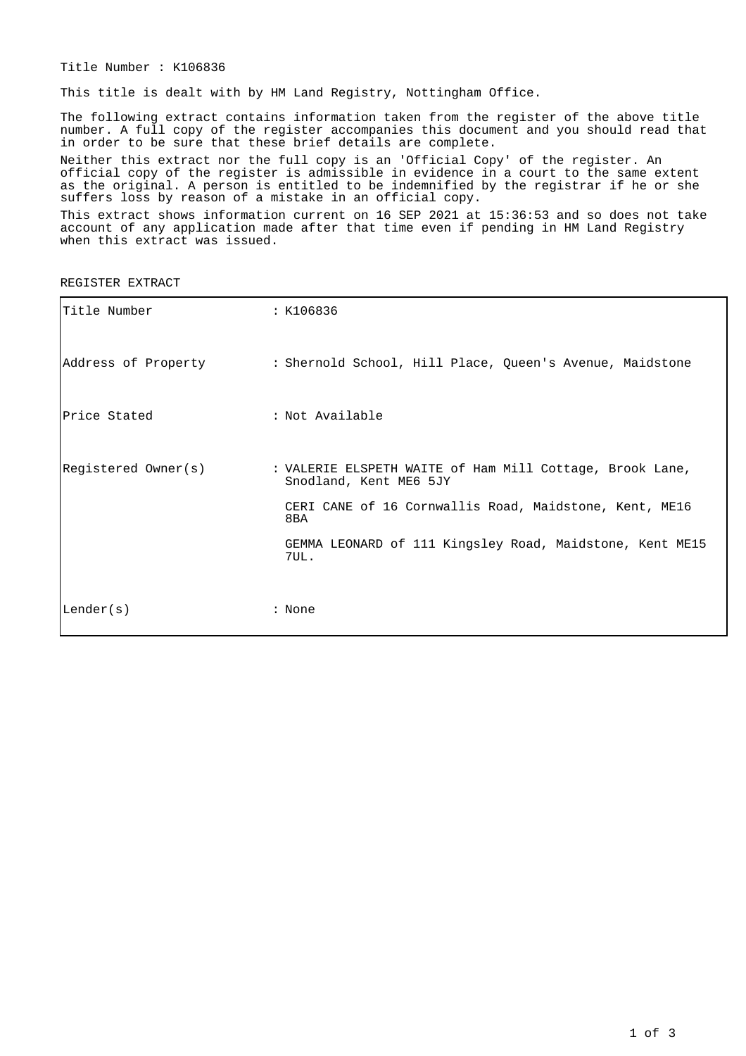Title Number : K106836

This title is dealt with by HM Land Registry, Nottingham Office.

The following extract contains information taken from the register of the above title number. A full copy of the register accompanies this document and you should read that in order to be sure that these brief details are complete.

Neither this extract nor the full copy is an 'Official Copy' of the register. An official copy of the register is admissible in evidence in a court to the same extent as the original. A person is entitled to be indemnified by the registrar if he or she suffers loss by reason of a mistake in an official copy.

This extract shows information current on 16 SEP 2021 at 15:36:53 and so does not take account of any application made after that time even if pending in HM Land Registry when this extract was issued.

REGISTER EXTRACT

| Title Number        | : K106836                                                                                                                                                                                                               |
|---------------------|-------------------------------------------------------------------------------------------------------------------------------------------------------------------------------------------------------------------------|
| Address of Property | : Shernold School, Hill Place, Queen's Avenue, Maidstone                                                                                                                                                                |
| lPrice Stated       | : Not Available                                                                                                                                                                                                         |
| Registered Owner(s) | : VALERIE ELSPETH WAITE of Ham Mill Cottage, Brook Lane,<br>Snodland, Kent ME6 5JY<br>CERI CANE of 16 Cornwallis Road, Maidstone, Kent, ME16<br>8BA<br>GEMMA LEONARD of 111 Kingsley Road, Maidstone, Kent ME15<br>7UL. |
| Lender(s)           | : None                                                                                                                                                                                                                  |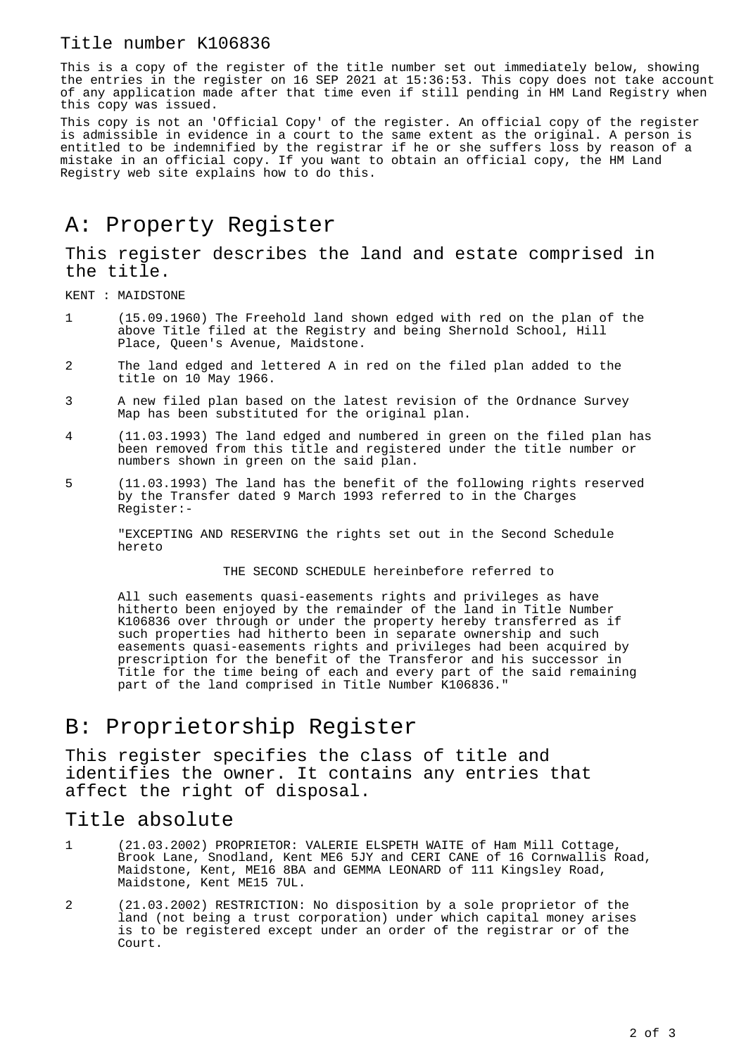### Title number K106836

This is a copy of the register of the title number set out immediately below, showing the entries in the register on 16 SEP 2021 at 15:36:53. This copy does not take account of any application made after that time even if still pending in HM Land Registry when this copy was issued.

This copy is not an 'Official Copy' of the register. An official copy of the register is admissible in evidence in a court to the same extent as the original. A person is entitled to be indemnified by the registrar if he or she suffers loss by reason of a mistake in an official copy. If you want to obtain an official copy, the HM Land Registry web site explains how to do this.

# A: Property Register

This register describes the land and estate comprised in the title.

KENT : MAIDSTONE

- 1 (15.09.1960) The Freehold land shown edged with red on the plan of the above Title filed at the Registry and being Shernold School, Hill Place, Queen's Avenue, Maidstone.
- 2 The land edged and lettered A in red on the filed plan added to the title on 10 May 1966.
- 3 A new filed plan based on the latest revision of the Ordnance Survey Map has been substituted for the original plan.
- 4 (11.03.1993) The land edged and numbered in green on the filed plan has been removed from this title and registered under the title number or numbers shown in green on the said plan.
- 5 (11.03.1993) The land has the benefit of the following rights reserved by the Transfer dated 9 March 1993 referred to in the Charges Register:-

"EXCEPTING AND RESERVING the rights set out in the Second Schedule hereto

#### THE SECOND SCHEDULE hereinbefore referred to

All such easements quasi-easements rights and privileges as have hitherto been enjoyed by the remainder of the land in Title Number K106836 over through or under the property hereby transferred as if such properties had hitherto been in separate ownership and such easements quasi-easements rights and privileges had been acquired by prescription for the benefit of the Transferor and his successor in Title for the time being of each and every part of the said remaining part of the land comprised in Title Number K106836."

# B: Proprietorship Register

This register specifies the class of title and identifies the owner. It contains any entries that affect the right of disposal.

#### Title absolute

- 1 (21.03.2002) PROPRIETOR: VALERIE ELSPETH WAITE of Ham Mill Cottage, Brook Lane, Snodland, Kent ME6 5JY and CERI CANE of 16 Cornwallis Road, Maidstone, Kent, ME16 8BA and GEMMA LEONARD of 111 Kingsley Road, Maidstone, Kent ME15 7UL.
- 2 (21.03.2002) RESTRICTION: No disposition by a sole proprietor of the land (not being a trust corporation) under which capital money arises is to be registered except under an order of the registrar or of the Court.